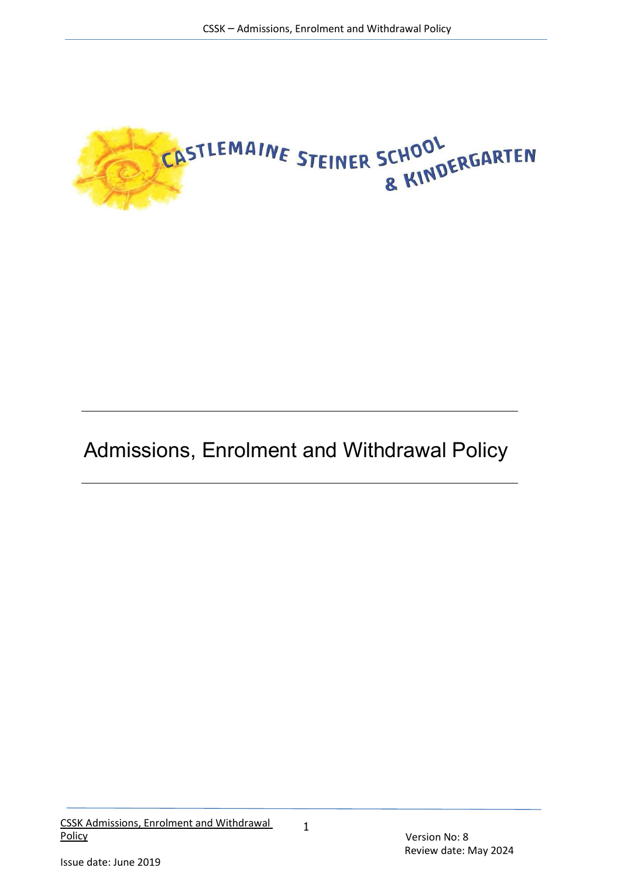

# Admissions, Enrolment and Withdrawal Policy

1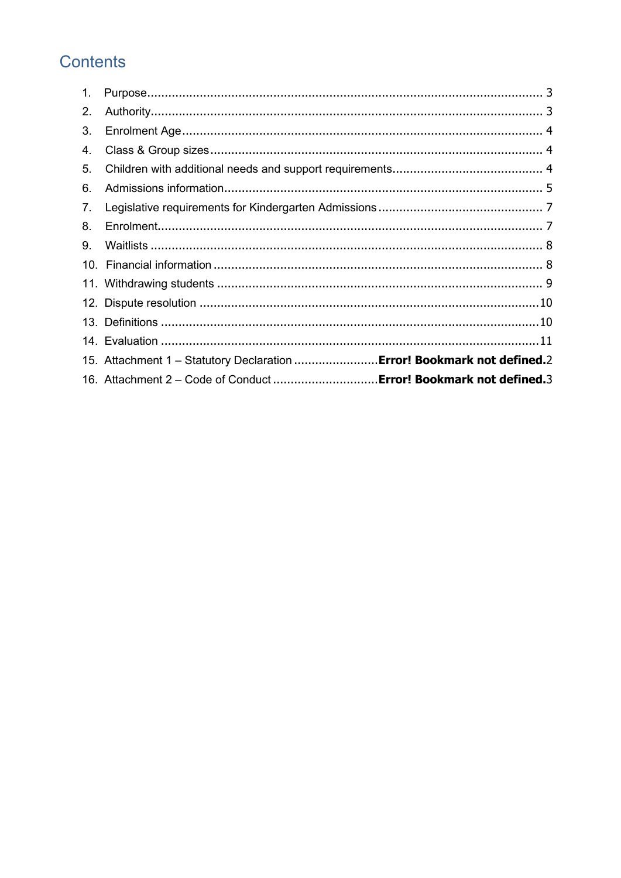# Contents

| 1. |                                                                         |
|----|-------------------------------------------------------------------------|
| 2. |                                                                         |
| 3. |                                                                         |
| 4. |                                                                         |
| 5. |                                                                         |
| 6. |                                                                         |
| 7. |                                                                         |
| 8. |                                                                         |
| 9. |                                                                         |
|    |                                                                         |
|    |                                                                         |
|    |                                                                         |
|    |                                                                         |
|    |                                                                         |
|    | 15. Attachment 1 - Statutory Declaration  Error! Bookmark not defined.2 |
|    | 16. Attachment 2 - Code of Conduct  Error! Bookmark not defined.3       |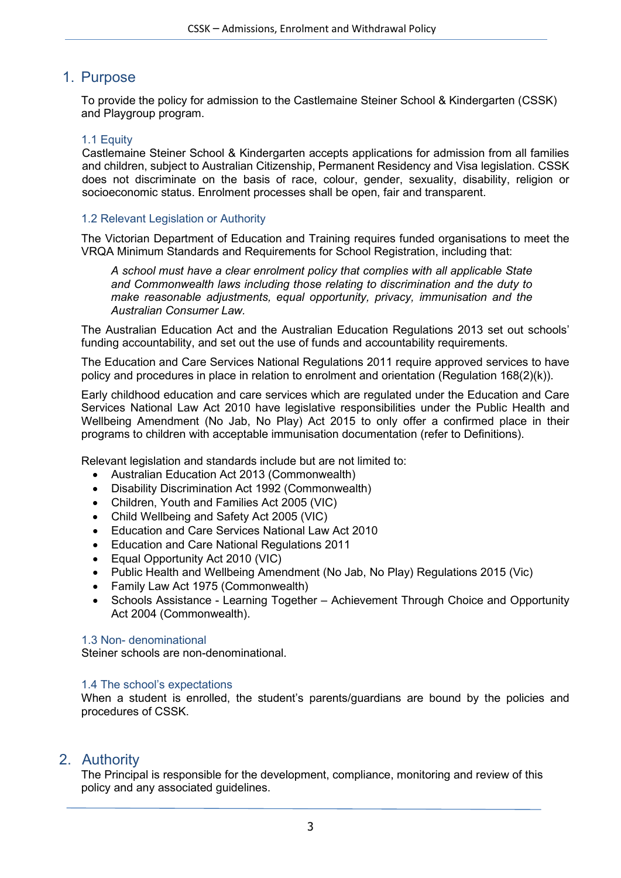# <span id="page-2-0"></span>1. Purpose

To provide the policy for admission to the Castlemaine Steiner School & Kindergarten (CSSK) and Playgroup program.

# 1.1 Equity

Castlemaine Steiner School & Kindergarten accepts applications for admission from all families and children, subject to Australian Citizenship, Permanent Residency and Visa legislation. CSSK does not discriminate on the basis of race, colour, gender, sexuality, disability, religion or socioeconomic status. Enrolment processes shall be open, fair and transparent.

## 1.2 Relevant Legislation or Authority

The Victorian Department of Education and Training requires funded organisations to meet the VRQA Minimum Standards and Requirements for School Registration, including that:

*A school must have a clear enrolment policy that complies with all applicable State and Commonwealth laws including those relating to discrimination and the duty to make reasonable adjustments, equal opportunity, privacy, immunisation and the Australian Consumer Law.*

The Australian Education Act and the Australian Education Regulations 2013 set out schools' funding accountability, and set out the use of funds and accountability requirements.

The Education and Care Services National Regulations 2011 require approved services to have policy and procedures in place in relation to enrolment and orientation (Regulation 168(2)(k)).

Early childhood education and care services which are regulated under the Education and Care Services National Law Act 2010 have legislative responsibilities under the Public Health and Wellbeing Amendment (No Jab, No Play) Act 2015 to only offer a confirmed place in their programs to children with acceptable immunisation documentation (refer to Definitions).

Relevant legislation and standards include but are not limited to:

- Australian Education Act 2013 (Commonwealth)
- Disability Discrimination Act 1992 (Commonwealth)
- Children, Youth and Families Act 2005 (VIC)
- Child Wellbeing and Safety Act 2005 (VIC)
- Education and Care Services National Law Act 2010
- Education and Care National Regulations 2011
- Equal Opportunity Act 2010 (VIC)
- Public Health and Wellbeing Amendment (No Jab, No Play) Regulations 2015 (Vic)
- Family Law Act 1975 (Commonwealth)
- Schools Assistance Learning Together Achievement Through Choice and Opportunity Act 2004 (Commonwealth).

## 1.3 Non- denominational

Steiner schools are non-denominational.

## 1.4 The school's expectations

When a student is enrolled, the student's parents/guardians are bound by the policies and procedures of CSSK.

# <span id="page-2-1"></span>2. Authority

The Principal is responsible for the development, compliance, monitoring and review of this policy and any associated guidelines.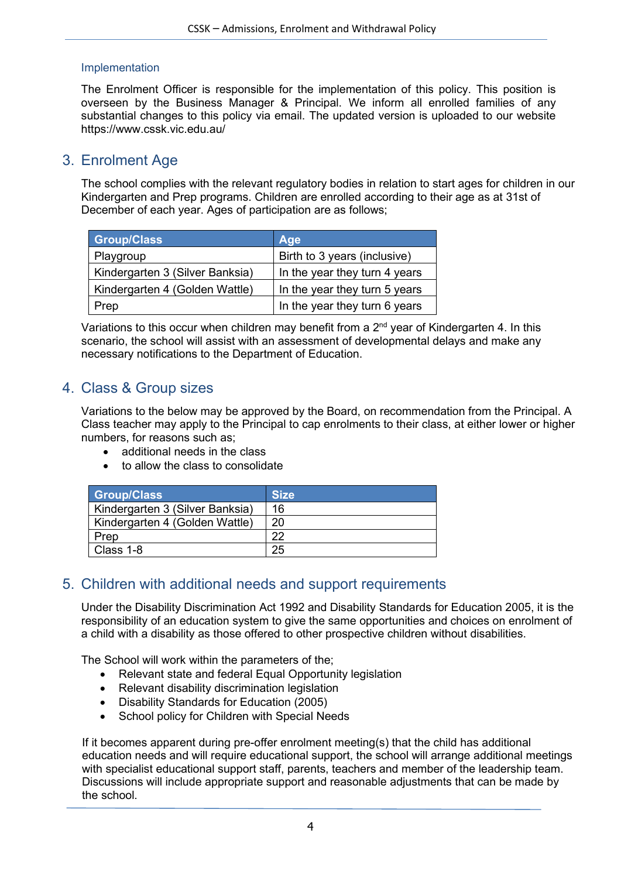# Implementation

The Enrolment Officer is responsible for the implementation of this policy. This position is overseen by the Business Manager & Principal. We inform all enrolled families of any substantial changes to this policy via email. The updated version is uploaded to our website https://www.cssk.vic.edu.au/

# <span id="page-3-0"></span>3. Enrolment Age

The school complies with the relevant regulatory bodies in relation to start ages for children in our Kindergarten and Prep programs. Children are enrolled according to their age as at 31st of December of each year. Ages of participation are as follows;

| <b>Group/Class</b>              | Age                           |
|---------------------------------|-------------------------------|
| Playgroup                       | Birth to 3 years (inclusive)  |
| Kindergarten 3 (Silver Banksia) | In the year they turn 4 years |
| Kindergarten 4 (Golden Wattle)  | In the year they turn 5 years |
| Prep                            | In the year they turn 6 years |

Variations to this occur when children may benefit from a  $2<sup>nd</sup>$  year of Kindergarten 4. In this scenario, the school will assist with an assessment of developmental delays and make any necessary notifications to the Department of Education.

# <span id="page-3-1"></span>4. Class & Group sizes

Variations to the below may be approved by the Board, on recommendation from the Principal. A Class teacher may apply to the Principal to cap enrolments to their class, at either lower or higher numbers, for reasons such as;

- additional needs in the class
- to allow the class to consolidate

| <b>Group/Class</b>              | <b>Size</b> |
|---------------------------------|-------------|
| Kindergarten 3 (Silver Banksia) | 16          |
| Kindergarten 4 (Golden Wattle)  | 20          |
| Prep                            | າາ          |
| Class 1-8                       | 25          |

# <span id="page-3-2"></span>5. Children with additional needs and support requirements

Under the Disability Discrimination Act 1992 and Disability Standards for Education 2005, it is the responsibility of an education system to give the same opportunities and choices on enrolment of a child with a disability as those offered to other prospective children without disabilities.

The School will work within the parameters of the;

- Relevant state and federal Equal Opportunity legislation
- Relevant disability discrimination legislation
- Disability Standards for Education (2005)
- School policy for Children with Special Needs

If it becomes apparent during pre-offer enrolment meeting(s) that the child has additional education needs and will require educational support, the school will arrange additional meetings with specialist educational support staff, parents, teachers and member of the leadership team. Discussions will include appropriate support and reasonable adjustments that can be made by the school.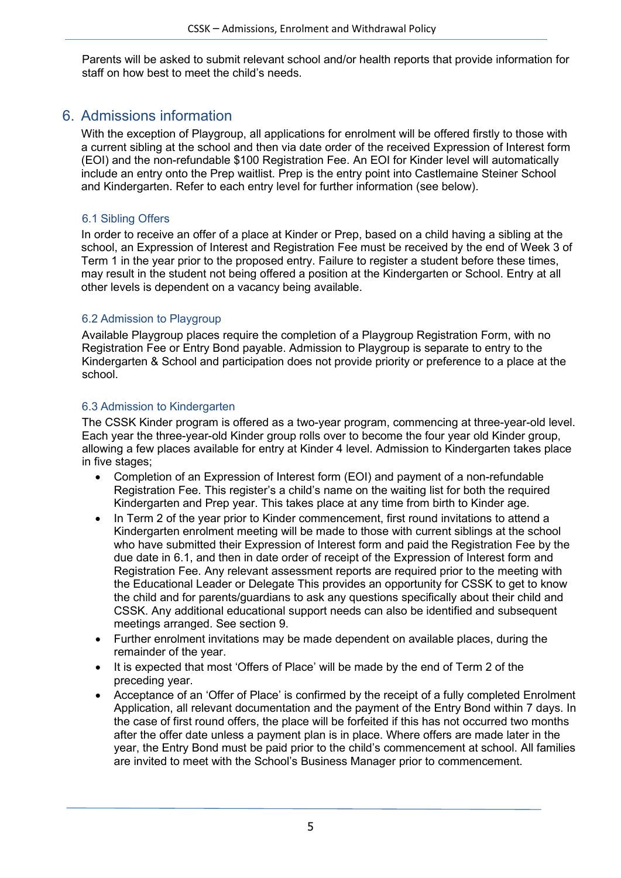Parents will be asked to submit relevant school and/or health reports that provide information for staff on how best to meet the child's needs.

# <span id="page-4-0"></span>6. Admissions information

With the exception of Playgroup, all applications for enrolment will be offered firstly to those with a current sibling at the school and then via date order of the received Expression of Interest form (EOI) and the non-refundable \$100 Registration Fee. An EOI for Kinder level will automatically include an entry onto the Prep waitlist. Prep is the entry point into Castlemaine Steiner School and Kindergarten. Refer to each entry level for further information (see below).

# 6.1 Sibling Offers

In order to receive an offer of a place at Kinder or Prep, based on a child having a sibling at the school, an Expression of Interest and Registration Fee must be received by the end of Week 3 of Term 1 in the year prior to the proposed entry. Failure to register a student before these times, may result in the student not being offered a position at the Kindergarten or School. Entry at all other levels is dependent on a vacancy being available.

# 6.2 Admission to Playgroup

Available Playgroup places require the completion of a Playgroup Registration Form, with no Registration Fee or Entry Bond payable. Admission to Playgroup is separate to entry to the Kindergarten & School and participation does not provide priority or preference to a place at the school.

# 6.3 Admission to Kindergarten

The CSSK Kinder program is offered as a two-year program, commencing at three-year-old level. Each year the three-year-old Kinder group rolls over to become the four year old Kinder group, allowing a few places available for entry at Kinder 4 level. Admission to Kindergarten takes place in five stages;

- Completion of an Expression of Interest form (EOI) and payment of a non-refundable Registration Fee. This register's a child's name on the waiting list for both the required Kindergarten and Prep year. This takes place at any time from birth to Kinder age.
- In Term 2 of the year prior to Kinder commencement, first round invitations to attend a Kindergarten enrolment meeting will be made to those with current siblings at the school who have submitted their Expression of Interest form and paid the Registration Fee by the due date in 6.1, and then in date order of receipt of the Expression of Interest form and Registration Fee. Any relevant assessment reports are required prior to the meeting with the Educational Leader or Delegate This provides an opportunity for CSSK to get to know the child and for parents/guardians to ask any questions specifically about their child and CSSK. Any additional educational support needs can also be identified and subsequent meetings arranged. See section 9.
- Further enrolment invitations may be made dependent on available places, during the remainder of the year.
- It is expected that most 'Offers of Place' will be made by the end of Term 2 of the preceding year.
- Acceptance of an 'Offer of Place' is confirmed by the receipt of a fully completed Enrolment Application, all relevant documentation and the payment of the Entry Bond within 7 days. In the case of first round offers, the place will be forfeited if this has not occurred two months after the offer date unless a payment plan is in place. Where offers are made later in the year, the Entry Bond must be paid prior to the child's commencement at school. All families are invited to meet with the School's Business Manager prior to commencement.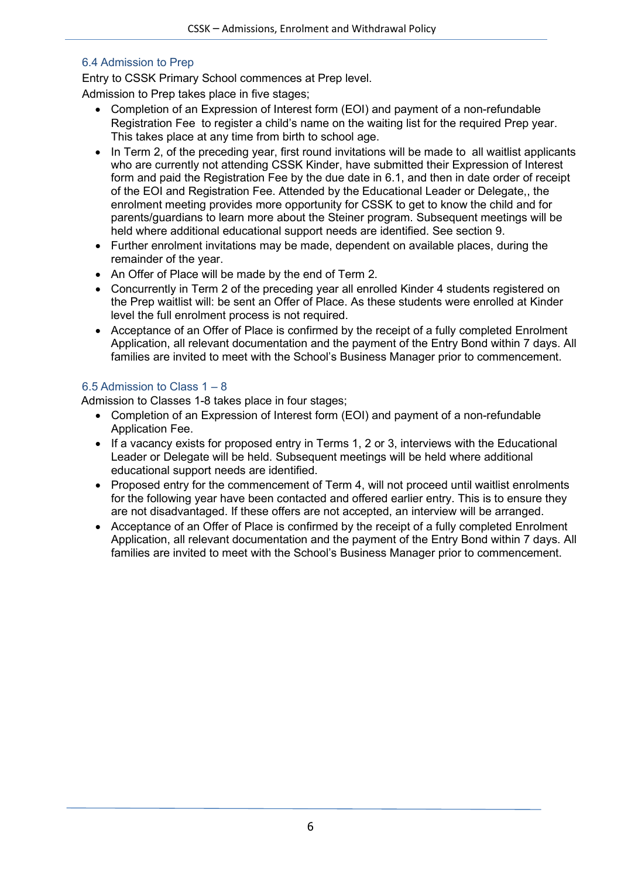# 6.4 Admission to Prep

Entry to CSSK Primary School commences at Prep level.

Admission to Prep takes place in five stages;

- Completion of an Expression of Interest form (EOI) and payment of a non-refundable Registration Fee to register a child's name on the waiting list for the required Prep year. This takes place at any time from birth to school age.
- In Term 2, of the preceding year, first round invitations will be made to all waitlist applicants who are currently not attending CSSK Kinder, have submitted their Expression of Interest form and paid the Registration Fee by the due date in 6.1, and then in date order of receipt of the EOI and Registration Fee. Attended by the Educational Leader or Delegate,, the enrolment meeting provides more opportunity for CSSK to get to know the child and for parents/guardians to learn more about the Steiner program. Subsequent meetings will be held where additional educational support needs are identified. See section 9.
- Further enrolment invitations may be made, dependent on available places, during the remainder of the year.
- An Offer of Place will be made by the end of Term 2.
- Concurrently in Term 2 of the preceding year all enrolled Kinder 4 students registered on the Prep waitlist will: be sent an Offer of Place. As these students were enrolled at Kinder level the full enrolment process is not required.
- Acceptance of an Offer of Place is confirmed by the receipt of a fully completed Enrolment Application, all relevant documentation and the payment of the Entry Bond within 7 days. All families are invited to meet with the School's Business Manager prior to commencement.

# 6.5 Admission to Class 1 – 8

Admission to Classes 1-8 takes place in four stages;

- Completion of an Expression of Interest form (EOI) and payment of a non-refundable Application Fee.
- If a vacancy exists for proposed entry in Terms 1, 2 or 3, interviews with the Educational Leader or Delegate will be held. Subsequent meetings will be held where additional educational support needs are identified.
- Proposed entry for the commencement of Term 4, will not proceed until waitlist enrolments for the following year have been contacted and offered earlier entry. This is to ensure they are not disadvantaged. If these offers are not accepted, an interview will be arranged.
- Acceptance of an Offer of Place is confirmed by the receipt of a fully completed Enrolment Application, all relevant documentation and the payment of the Entry Bond within 7 days. All families are invited to meet with the School's Business Manager prior to commencement.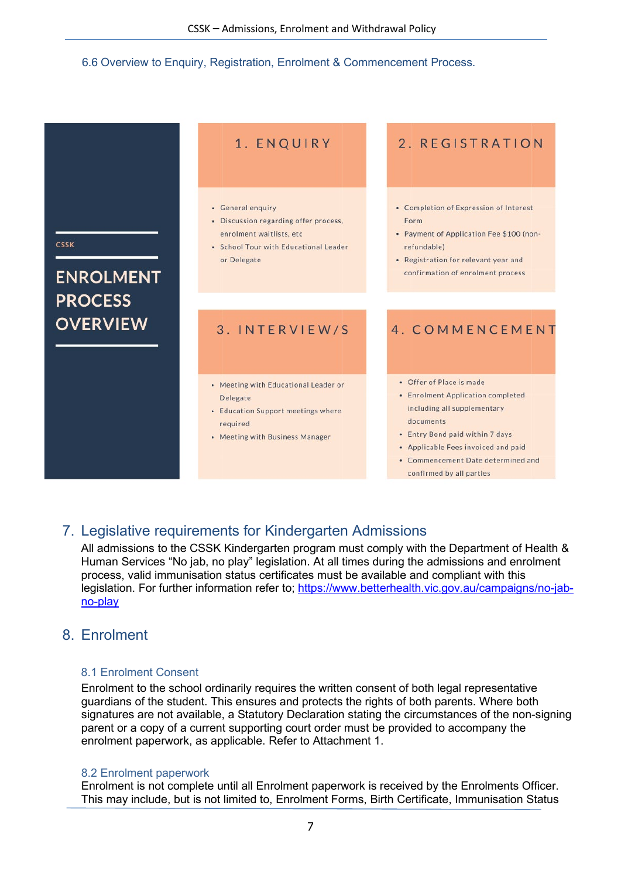#### 6.6 Overview to Enquiry, Registration, Enrolment & Commencement Process.

|                                   | 1. ENQUIRY                                                                                                                                      | 2. REGISTRATION                                                                                                                                                                                                                                       |
|-----------------------------------|-------------------------------------------------------------------------------------------------------------------------------------------------|-------------------------------------------------------------------------------------------------------------------------------------------------------------------------------------------------------------------------------------------------------|
| <b>CSSK</b><br><b>ENROLMENT</b>   | • General enquiry<br>• Discussion regarding offer process,<br>enrolment waitlists, etc.<br>• School Tour with Educational Leader<br>or Delegate | • Completion of Expression of Interest<br>Form<br>• Payment of Application Fee \$100 (non-<br>refundable)<br>• Registration for relevant year and<br>confirmation of enrolment process                                                                |
| <b>PROCESS</b><br><b>OVERVIEW</b> | 3. INTERVIEW/S                                                                                                                                  | 4. COMMENCEMENT                                                                                                                                                                                                                                       |
|                                   | • Meeting with Educational Leader or<br>Delegate<br>• Education Support meetings where<br>required<br>• Meeting with Business Manager           | • Offer of Place is made<br>• Enrolment Application completed<br>including all supplementary<br>documents<br>• Entry Bond paid within 7 days<br>• Applicable Fees invoiced and paid<br>• Commencement Date determined and<br>confirmed by all parties |

# <span id="page-6-0"></span>7. Legislative requirements for Kindergarten Admissions

All admissions to the CSSK Kindergarten program must comply with the Department of Health & Human Services "No jab, no play" legislation. At all times during the admissions and enrolment process, valid immunisation status certificates must be available and compliant with this legislation. For further information refer to; [https://www.betterhealth.vic.gov.au/campaigns/no-jab](https://www.betterhealth.vic.gov.au/campaigns/no-jab-no-play)[no-play](https://www.betterhealth.vic.gov.au/campaigns/no-jab-no-play)

# <span id="page-6-1"></span>8. Enrolment

# 8.1 Enrolment Consent

Enrolment to the school ordinarily requires the written consent of both legal representative guardians of the student. This ensures and protects the rights of both parents. Where both signatures are not available, a Statutory Declaration stating the circumstances of the non-signing parent or a copy of a current supporting court order must be provided to accompany the enrolment paperwork, as applicable. Refer to Attachment 1.

# 8.2 Enrolment paperwork

Enrolment is not complete until all Enrolment paperwork is received by the Enrolments Officer. This may include, but is not limited to, Enrolment Forms, Birth Certificate, Immunisation Status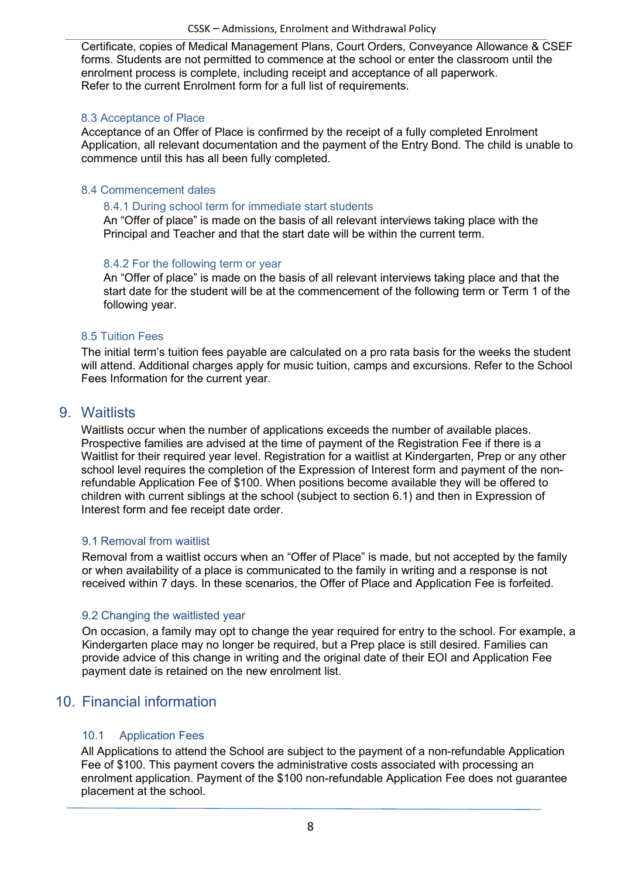Certificate, copies of Medical Management Plans, Court Orders, Conveyance Allowance & CSEF forms. Students are not permitted to commence at the school or enter the classroom until the enrolment process is complete, including receipt and acceptance of all paperwork. Refer to the current Enrolment form for a full list of requirements.

## 8.3 Acceptance of Place

Acceptance of an Offer of Place is confirmed by the receipt of a fully completed Enrolment Application, all relevant documentation and the payment of the Entry Bond. The child is unable to commence until this has all been fully completed.

# 8.4 Commencement dates

#### 8.4.1 During school term for immediate start students

An "Offer of place" is made on the basis of all relevant interviews taking place with the Principal and Teacher and that the start date will be within the current term.

## 8.4.2 For the following term or year

An "Offer of place" is made on the basis of all relevant interviews taking place and that the start date for the student will be at the commencement of the following term or Term 1 of the following year.

## 8.5 Tuition Fees

The initial term's tuition fees payable are calculated on a pro rata basis for the weeks the student will attend. Additional charges apply for music tuition, camps and excursions. Refer to the School Fees Information for the current year.

# <span id="page-7-0"></span>9. Waitlists

Waitlists occur when the number of applications exceeds the number of available places. Prospective families are advised at the time of payment of the Registration Fee if there is a Waitlist for their required year level. Registration for a waitlist at Kindergarten, Prep or any other school level requires the completion of the Expression of Interest form and payment of the nonrefundable Application Fee of \$100. When positions become available they will be offered to children with current siblings at the school (subject to section 6.1) and then in Expression of Interest form and fee receipt date order.

## 9.1 Removal from waitlist

Removal from a waitlist occurs when an "Offer of Place" is made, but not accepted by the family or when availability of a place is communicated to the family in writing and a response is not received within 7 days. In these scenarios, the Offer of Place and Application Fee is forfeited.

# 9.2 Changing the waitlisted year

On occasion, a family may opt to change the year required for entry to the school. For example, a Kindergarten place may no longer be required, but a Prep place is still desired. Families can provide advice of this change in writing and the original date of their EOI and Application Fee payment date is retained on the new enrolment list.

# <span id="page-7-1"></span>10. Financial information

# 10.1 Application Fees

All Applications to attend the School are subject to the payment of a non-refundable Application Fee of \$100. This payment covers the administrative costs associated with processing an enrolment application. Payment of the \$100 non-refundable Application Fee does not guarantee placement at the school.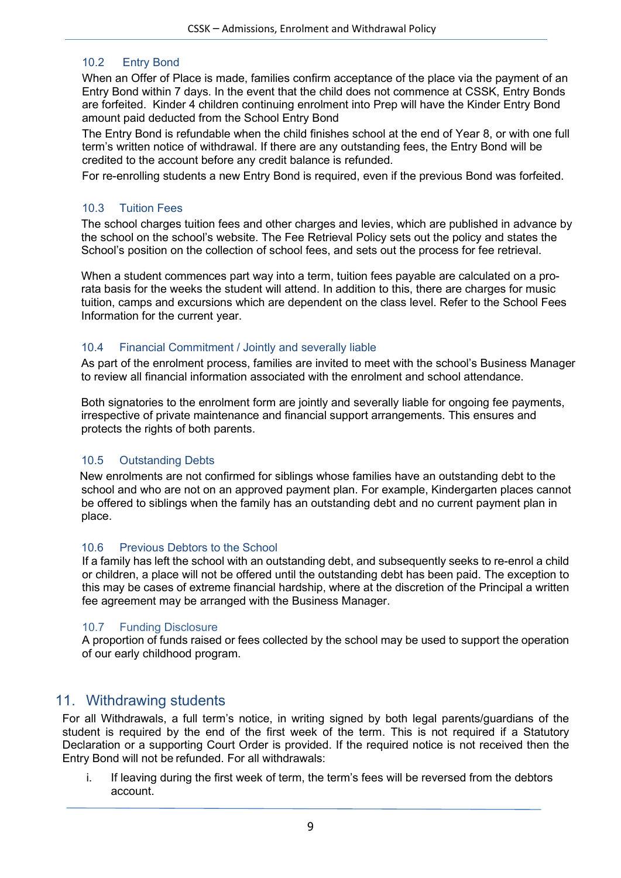# 10.2 Entry Bond

When an Offer of Place is made, families confirm acceptance of the place via the payment of an Entry Bond within 7 days. In the event that the child does not commence at CSSK, Entry Bonds are forfeited. Kinder 4 children continuing enrolment into Prep will have the Kinder Entry Bond amount paid deducted from the School Entry Bond

The Entry Bond is refundable when the child finishes school at the end of Year 8, or with one full term's written notice of withdrawal. If there are any outstanding fees, the Entry Bond will be credited to the account before any credit balance is refunded.

For re-enrolling students a new Entry Bond is required, even if the previous Bond was forfeited.

## 10.3 Tuition Fees

The school charges tuition fees and other charges and levies, which are published in advance by the school on the school's website. The Fee Retrieval Policy sets out the policy and states the School's position on the collection of school fees, and sets out the process for fee retrieval.

When a student commences part way into a term, tuition fees payable are calculated on a prorata basis for the weeks the student will attend. In addition to this, there are charges for music tuition, camps and excursions which are dependent on the class level. Refer to the School Fees Information for the current year.

## 10.4 Financial Commitment / Jointly and severally liable

As part of the enrolment process, families are invited to meet with the school's Business Manager to review all financial information associated with the enrolment and school attendance.

Both signatories to the enrolment form are jointly and severally liable for ongoing fee payments, irrespective of private maintenance and financial support arrangements. This ensures and protects the rights of both parents.

## 10.5 Outstanding Debts

New enrolments are not confirmed for siblings whose families have an outstanding debt to the school and who are not on an approved payment plan. For example, Kindergarten places cannot be offered to siblings when the family has an outstanding debt and no current payment plan in place.

## 10.6 Previous Debtors to the School

If a family has left the school with an outstanding debt, and subsequently seeks to re-enrol a child or children, a place will not be offered until the outstanding debt has been paid. The exception to this may be cases of extreme financial hardship, where at the discretion of the Principal a written fee agreement may be arranged with the Business Manager.

## 10.7 Funding Disclosure

A proportion of funds raised or fees collected by the school may be used to support the operation of our early childhood program.

# <span id="page-8-0"></span>11. Withdrawing students

For all Withdrawals, a full term's notice, in writing signed by both legal parents/guardians of the student is required by the end of the first week of the term. This is not required if a Statutory Declaration or a supporting Court Order is provided. If the required notice is not received then the Entry Bond will not be refunded. For all withdrawals:

i. If leaving during the first week of term, the term's fees will be reversed from the debtors account.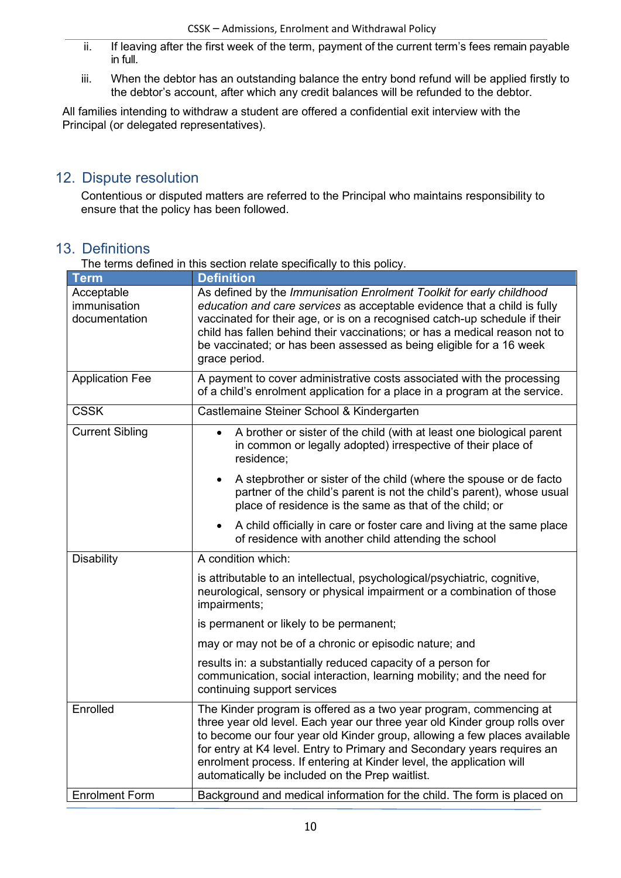- ii. If leaving after the first week of the term, payment of the current term's fees remain payable in full.
- iii. When the debtor has an outstanding balance the entry bond refund will be applied firstly to the debtor's account, after which any credit balances will be refunded to the debtor.

All families intending to withdraw a student are offered a confidential exit interview with the Principal (or delegated representatives).

# <span id="page-9-0"></span>12. Dispute resolution

Contentious or disputed matters are referred to the Principal who maintains responsibility to ensure that the policy has been followed.

# <span id="page-9-1"></span>13. Definitions

| <b>Term</b>                                 | <b>Definition</b>                                                                                                                                                                                                                                                                                                                                                                                                                   |
|---------------------------------------------|-------------------------------------------------------------------------------------------------------------------------------------------------------------------------------------------------------------------------------------------------------------------------------------------------------------------------------------------------------------------------------------------------------------------------------------|
| Acceptable<br>immunisation<br>documentation | As defined by the Immunisation Enrolment Toolkit for early childhood<br>education and care services as acceptable evidence that a child is fully<br>vaccinated for their age, or is on a recognised catch-up schedule if their<br>child has fallen behind their vaccinations; or has a medical reason not to<br>be vaccinated; or has been assessed as being eligible for a 16 week<br>grace period.                                |
| <b>Application Fee</b>                      | A payment to cover administrative costs associated with the processing<br>of a child's enrolment application for a place in a program at the service.                                                                                                                                                                                                                                                                               |
| <b>CSSK</b>                                 | Castlemaine Steiner School & Kindergarten                                                                                                                                                                                                                                                                                                                                                                                           |
| <b>Current Sibling</b>                      | A brother or sister of the child (with at least one biological parent<br>$\bullet$<br>in common or legally adopted) irrespective of their place of<br>residence;                                                                                                                                                                                                                                                                    |
|                                             | A stepbrother or sister of the child (where the spouse or de facto<br>$\bullet$<br>partner of the child's parent is not the child's parent), whose usual<br>place of residence is the same as that of the child; or                                                                                                                                                                                                                 |
|                                             | A child officially in care or foster care and living at the same place<br>of residence with another child attending the school                                                                                                                                                                                                                                                                                                      |
| <b>Disability</b>                           | A condition which:                                                                                                                                                                                                                                                                                                                                                                                                                  |
|                                             | is attributable to an intellectual, psychological/psychiatric, cognitive,<br>neurological, sensory or physical impairment or a combination of those<br>impairments;                                                                                                                                                                                                                                                                 |
|                                             | is permanent or likely to be permanent;                                                                                                                                                                                                                                                                                                                                                                                             |
|                                             | may or may not be of a chronic or episodic nature; and                                                                                                                                                                                                                                                                                                                                                                              |
|                                             | results in: a substantially reduced capacity of a person for<br>communication, social interaction, learning mobility; and the need for<br>continuing support services                                                                                                                                                                                                                                                               |
| Enrolled                                    | The Kinder program is offered as a two year program, commencing at<br>three year old level. Each year our three year old Kinder group rolls over<br>to become our four year old Kinder group, allowing a few places available<br>for entry at K4 level. Entry to Primary and Secondary years requires an<br>enrolment process. If entering at Kinder level, the application will<br>automatically be included on the Prep waitlist. |
| <b>Enrolment Form</b>                       | Background and medical information for the child. The form is placed on                                                                                                                                                                                                                                                                                                                                                             |

The terms defined in this section relate specifically to this policy.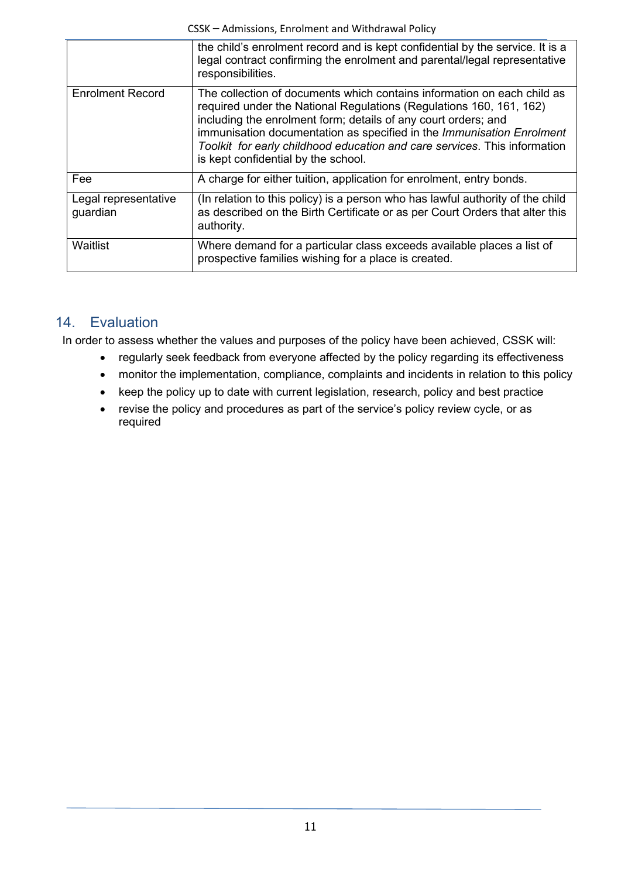|                                  | the child's enrolment record and is kept confidential by the service. It is a<br>legal contract confirming the enrolment and parental/legal representative<br>responsibilities.                                                                                                                                                                                                                               |
|----------------------------------|---------------------------------------------------------------------------------------------------------------------------------------------------------------------------------------------------------------------------------------------------------------------------------------------------------------------------------------------------------------------------------------------------------------|
| <b>Enrolment Record</b>          | The collection of documents which contains information on each child as<br>required under the National Regulations (Regulations 160, 161, 162)<br>including the enrolment form; details of any court orders; and<br>immunisation documentation as specified in the Immunisation Enrolment<br>Toolkit for early childhood education and care services. This information<br>is kept confidential by the school. |
| Fee                              | A charge for either tuition, application for enrolment, entry bonds.                                                                                                                                                                                                                                                                                                                                          |
| Legal representative<br>guardian | (In relation to this policy) is a person who has lawful authority of the child<br>as described on the Birth Certificate or as per Court Orders that alter this<br>authority.                                                                                                                                                                                                                                  |
| Waitlist                         | Where demand for a particular class exceeds available places a list of<br>prospective families wishing for a place is created.                                                                                                                                                                                                                                                                                |

# <span id="page-10-0"></span>14. Evaluation

In order to assess whether the values and purposes of the policy have been achieved, CSSK will:

- regularly seek feedback from everyone affected by the policy regarding its effectiveness
- monitor the implementation, compliance, complaints and incidents in relation to this policy
- keep the policy up to date with current legislation, research, policy and best practice
- revise the policy and procedures as part of the service's policy review cycle, or as required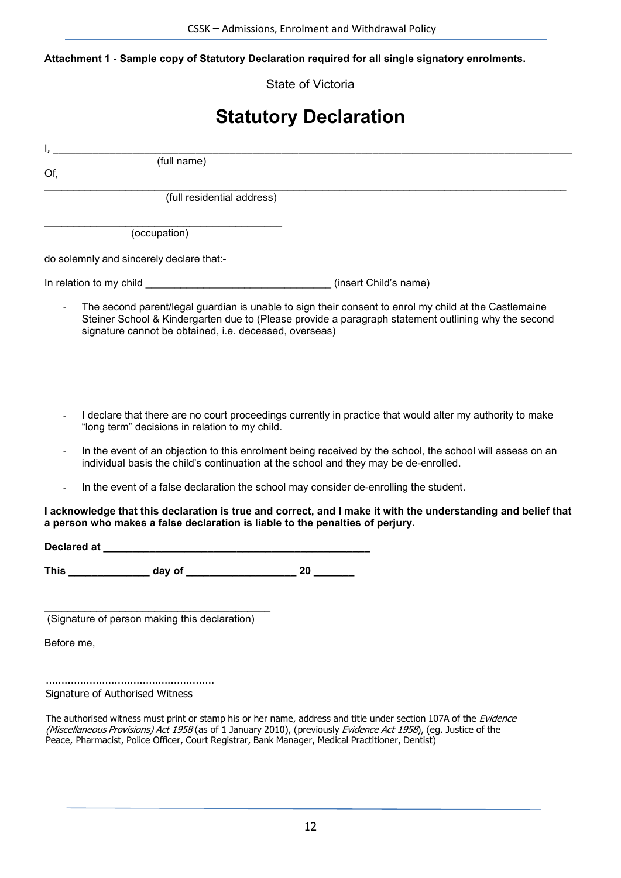**Attachment 1 - Sample copy of Statutory Declaration required for all single signatory enrolments.**

State of Victoria

# **Statutory Declaration**

I, \_\_\_\_\_\_\_\_\_\_\_\_\_\_\_\_\_\_\_\_\_\_\_\_\_\_\_\_\_\_\_\_\_\_\_\_\_\_\_\_\_\_\_\_\_\_\_\_\_\_\_\_\_\_\_\_\_\_\_\_\_\_\_\_\_\_\_\_\_\_\_\_\_\_\_\_\_\_\_\_\_\_\_\_\_\_\_\_\_\_\_

Of,

(full name)

\_\_\_\_\_\_\_\_\_\_\_\_\_\_\_\_\_\_\_\_\_\_\_\_\_\_\_\_\_\_\_\_\_\_\_\_\_\_\_\_\_\_\_\_\_\_\_\_\_\_\_\_\_\_\_\_\_\_\_\_\_\_\_\_\_\_\_\_\_\_\_\_\_\_\_\_\_\_\_\_\_\_\_\_\_\_\_\_\_\_ (full residential address)

\_\_\_\_\_\_\_\_\_\_\_\_\_\_\_\_\_\_\_\_\_\_\_\_\_\_\_\_\_\_\_\_\_\_\_\_\_\_\_\_\_ (occupation)

do solemnly and sincerely declare that:-

In relation to my child \_\_\_\_\_\_\_\_\_\_\_\_\_\_\_\_\_\_\_\_\_\_\_\_\_\_\_\_\_\_\_\_ (insert Child's name)

- The second parent/legal guardian is unable to sign their consent to enrol my child at the Castlemaine Steiner School & Kindergarten due to (Please provide a paragraph statement outlining why the second signature cannot be obtained, i.e. deceased, overseas)
- I declare that there are no court proceedings currently in practice that would alter my authority to make "long term" decisions in relation to my child.
- In the event of an objection to this enrolment being received by the school, the school will assess on an individual basis the child's continuation at the school and they may be de-enrolled.
- In the event of a false declaration the school may consider de-enrolling the student.

#### **I acknowledge that this declaration is true and correct, and I make it with the understanding and belief that a person who makes a false declaration is liable to the penalties of perjury.**

**Declared at \_\_\_\_\_\_\_\_\_\_\_\_\_\_\_\_\_\_\_\_\_\_\_\_\_\_\_\_\_\_\_\_\_\_\_\_\_\_\_\_\_\_\_\_\_\_**

**This \_\_\_\_\_\_\_\_\_\_\_\_\_\_ day of \_\_\_\_\_\_\_\_\_\_\_\_\_\_\_\_\_\_\_ 20 \_\_\_\_\_\_\_**

\_\_\_\_\_\_\_\_\_\_\_\_\_\_\_\_\_\_\_\_\_\_\_\_\_\_\_\_\_\_\_\_\_\_\_\_\_\_\_ (Signature of person making this declaration)

Before me,

……………………………………………… Signature of Authorised Witness

The authorised witness must print or stamp his or her name, address and title under section 107A of the Evidence (Miscellaneous Provisions) Act 1958 (as of 1 January 2010), (previously Evidence Act 1958), (eq. Justice of the Peace, Pharmacist, Police Officer, Court Registrar, Bank Manager, Medical Practitioner, Dentist)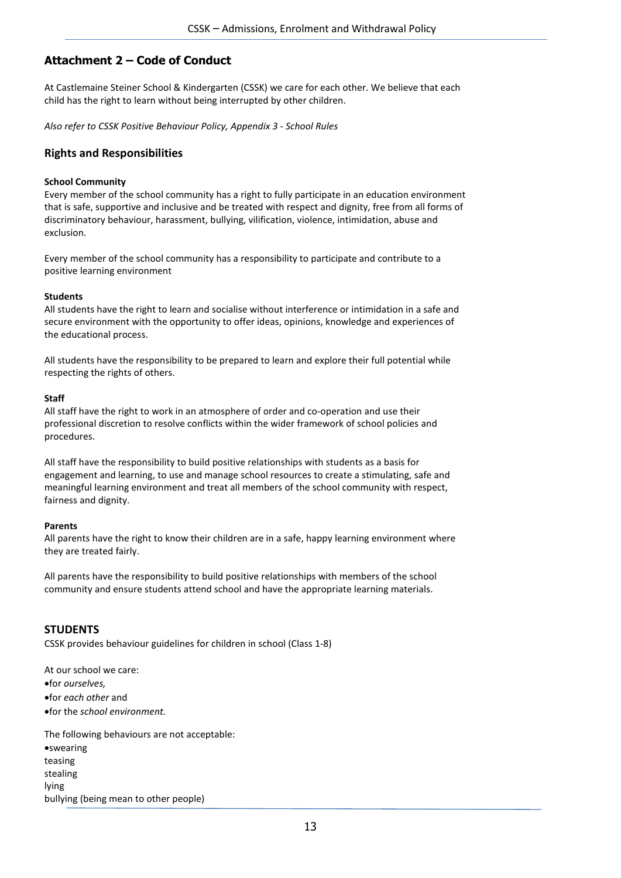# **Attachment 2 – Code of Conduct**

At Castlemaine Steiner School & Kindergarten (CSSK) we care for each other. We believe that each child has the right to learn without being interrupted by other children.

*Also refer to CSSK Positive Behaviour Policy, Appendix 3 - School Rules*

## **Rights and Responsibilities**

#### **School Community**

Every member of the school community has a right to fully participate in an education environment that is safe, supportive and inclusive and be treated with respect and dignity, free from all forms of discriminatory behaviour, harassment, bullying, vilification, violence, intimidation, abuse and exclusion.

Every member of the school community has a responsibility to participate and contribute to a positive learning environment

#### **Students**

All students have the right to learn and socialise without interference or intimidation in a safe and secure environment with the opportunity to offer ideas, opinions, knowledge and experiences of the educational process.

All students have the responsibility to be prepared to learn and explore their full potential while respecting the rights of others.

#### **Staff**

All staff have the right to work in an atmosphere of order and co-operation and use their professional discretion to resolve conflicts within the wider framework of school policies and procedures.

All staff have the responsibility to build positive relationships with students as a basis for engagement and learning, to use and manage school resources to create a stimulating, safe and meaningful learning environment and treat all members of the school community with respect, fairness and dignity.

#### **Parents**

All parents have the right to know their children are in a safe, happy learning environment where they are treated fairly.

All parents have the responsibility to build positive relationships with members of the school community and ensure students attend school and have the appropriate learning materials.

## **STUDENTS**

CSSK provides behaviour guidelines for children in school (Class 1-8)

At our school we care: •for *ourselves,* •for *each other* and •for the *school environment.* The following behaviours are not acceptable: •swearing teasing stealing lying

bullying (being mean to other people)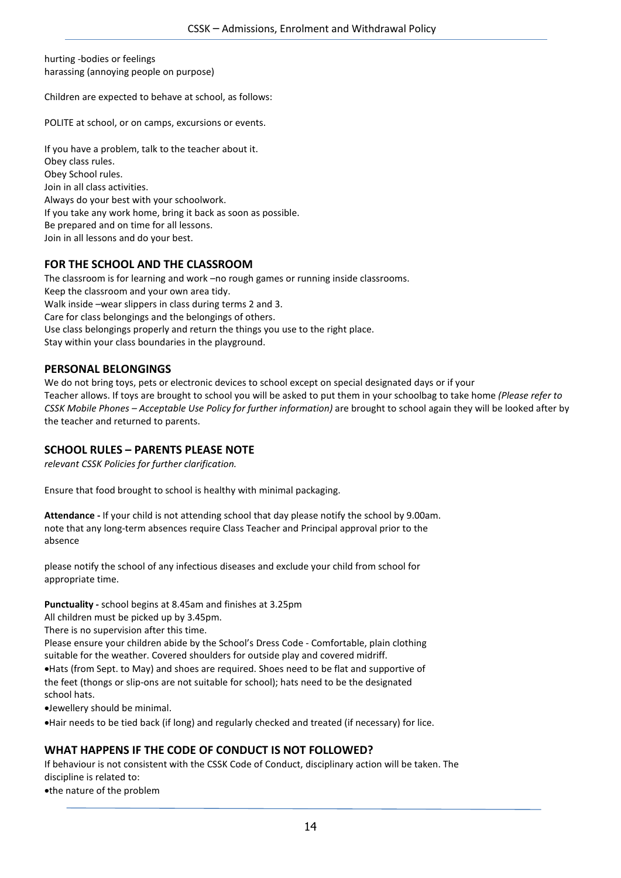hurting -bodies or feelings harassing (annoying people on purpose)

Children are expected to behave at school, as follows:

POLITE at school, or on camps, excursions or events.

If you have a problem, talk to the teacher about it. Obey class rules. Obey School rules. Join in all class activities. Always do your best with your schoolwork. If you take any work home, bring it back as soon as possible. Be prepared and on time for all lessons. Join in all lessons and do your best.

## **FOR THE SCHOOL AND THE CLASSROOM**

The classroom is for learning and work –no rough games or running inside classrooms. Keep the classroom and your own area tidy. Walk inside –wear slippers in class during terms 2 and 3. Care for class belongings and the belongings of others. Use class belongings properly and return the things you use to the right place. Stay within your class boundaries in the playground.

#### **PERSONAL BELONGINGS**

We do not bring toys, pets or electronic devices to school except on special designated days or if your Teacher allows. If toys are brought to school you will be asked to put them in your schoolbag to take home *(Please refer to CSSK Mobile Phones – Acceptable Use Policy for further information)* are brought to school again they will be looked after by the teacher and returned to parents.

## **SCHOOL RULES – PARENTS PLEASE NOTE**

*relevant CSSK Policies for further clarification.*

Ensure that food brought to school is healthy with minimal packaging.

**Attendance -** If your child is not attending school that day please notify the school by 9.00am. note that any long-term absences require Class Teacher and Principal approval prior to the absence

please notify the school of any infectious diseases and exclude your child from school for appropriate time.

**Punctuality -** school begins at 8.45am and finishes at 3.25pm

All children must be picked up by 3.45pm.

There is no supervision after this time.

Please ensure your children abide by the School's Dress Code - Comfortable, plain clothing suitable for the weather. Covered shoulders for outside play and covered midriff. •Hats (from Sept. to May) and shoes are required. Shoes need to be flat and supportive of the feet (thongs or slip-ons are not suitable for school); hats need to be the designated school hats.

•Jewellery should be minimal.

•Hair needs to be tied back (if long) and regularly checked and treated (if necessary) for lice.

## **WHAT HAPPENS IF THE CODE OF CONDUCT IS NOT FOLLOWED?**

If behaviour is not consistent with the CSSK Code of Conduct, disciplinary action will be taken. The discipline is related to:

•the nature of the problem